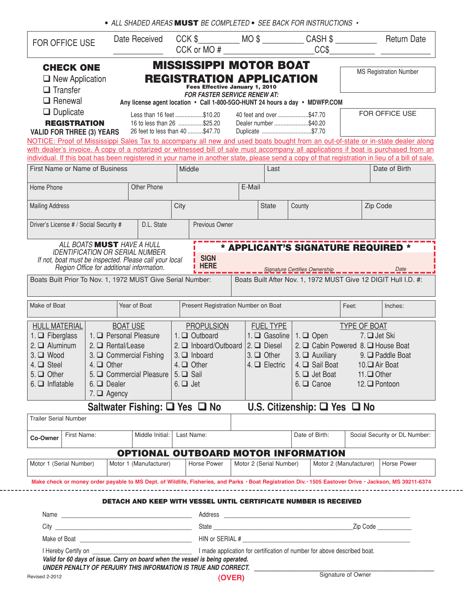|  |  |  |  | $\bullet$ ALL SHADED AREAS MUST BE COMPLETED $\bullet$ SEE BACK FOR INSTRUCTIONS $\bullet$ |  |
|--|--|--|--|--------------------------------------------------------------------------------------------|--|
|--|--|--|--|--------------------------------------------------------------------------------------------|--|

| FOR OFFICE USE                                                                                                                                                                                                                                                                        |                                      | Date Received                                                                              |                 |                                     | $CCK$ or $MO$ #                                                      | $CCK$ \$ $MO$ \$ $CASH$ \$<br>CC\$                                          |                                      | <b>Return Date</b>            |
|---------------------------------------------------------------------------------------------------------------------------------------------------------------------------------------------------------------------------------------------------------------------------------------|--------------------------------------|--------------------------------------------------------------------------------------------|-----------------|-------------------------------------|----------------------------------------------------------------------|-----------------------------------------------------------------------------|--------------------------------------|-------------------------------|
| <b>CHECK ONE</b>                                                                                                                                                                                                                                                                      |                                      |                                                                                            |                 |                                     | <b>MISSISSIPPI MOTOR BOAT</b>                                        |                                                                             |                                      |                               |
| $\Box$ New Application<br>$\Box$ Transfer                                                                                                                                                                                                                                             |                                      |                                                                                            |                 | Fees Effective January 1, 2010      | <b>REGISTRATION APPLICATION</b>                                      |                                                                             |                                      | <b>MS Registration Number</b> |
| $\Box$ Renewal                                                                                                                                                                                                                                                                        |                                      |                                                                                            |                 | <b>FOR FASTER SERVICE RENEW AT:</b> |                                                                      | Any license agent location • Call 1-800-5GO-HUNT 24 hours a day • MDWFP.COM |                                      |                               |
| $\Box$ Duplicate<br><b>REGISTRATION</b><br><b>VALID FOR THREE (3) YEARS</b>                                                                                                                                                                                                           |                                      | Less than 16 feet \$10.20<br>16 to less than 26 \$25.20<br>26 feet to less than 40 \$47.70 |                 |                                     | 40 feet and over\$47.70<br>Dealer number \$40.20<br>Duplicate \$7.70 |                                                                             |                                      | FOR OFFICE USE                |
| NOTICE: Proof of Mississippi Sales Tax to accompany all new and used boats bought from an out-of-state or in-state dealer along                                                                                                                                                       |                                      |                                                                                            |                 |                                     |                                                                      |                                                                             |                                      |                               |
| with dealer's invoice. A copy of a notarized or witnessed bill of sale must accompany all applications if boat is purchased from an<br>individual. If this boat has been registered in your name in another state, please send a copy of that registration in lieu of a bill of sale. |                                      |                                                                                            |                 |                                     |                                                                      |                                                                             |                                      |                               |
| First Name or Name of Business                                                                                                                                                                                                                                                        |                                      |                                                                                            | Middle          |                                     | Last                                                                 |                                                                             |                                      | Date of Birth                 |
| Home Phone                                                                                                                                                                                                                                                                            |                                      | Other Phone                                                                                |                 |                                     | E-Mail                                                               |                                                                             |                                      |                               |
|                                                                                                                                                                                                                                                                                       |                                      |                                                                                            |                 |                                     |                                                                      |                                                                             |                                      |                               |
| <b>Mailing Address</b>                                                                                                                                                                                                                                                                |                                      |                                                                                            | City            |                                     | <b>State</b>                                                         | County                                                                      |                                      | Zip Code                      |
| Driver's License # / Social Security #                                                                                                                                                                                                                                                |                                      | D.L. State                                                                                 |                 | Previous Owner                      |                                                                      |                                                                             |                                      |                               |
|                                                                                                                                                                                                                                                                                       | ALL BOATS <b>MUST</b> HAVE A HULL    |                                                                                            |                 |                                     |                                                                      | * APPLICANT'S SIGNATURE REQUIRED *                                          |                                      |                               |
| If not, boat must be inspected. Please call your local                                                                                                                                                                                                                                |                                      | IDENTIFICATION OR SERIAL NUMBER.<br>Region Office for additional information.              |                 | <b>SIGN</b><br><b>HERE</b>          |                                                                      |                                                                             |                                      |                               |
|                                                                                                                                                                                                                                                                                       |                                      |                                                                                            |                 |                                     |                                                                      | Signature Certifies Ownership __________                                    |                                      | Date                          |
| Boats Built Prior To Nov. 1, 1972 MUST Give Serial Number:                                                                                                                                                                                                                            |                                      |                                                                                            |                 |                                     |                                                                      | Boats Built After Nov. 1, 1972 MUST Give 12 DIGIT Hull I.D. #:              |                                      |                               |
| Make of Boat                                                                                                                                                                                                                                                                          |                                      | Year of Boat                                                                               |                 | Present Registration Number on Boat |                                                                      |                                                                             | Feet:                                | Inches:                       |
| <b>HULL MATERIAL</b>                                                                                                                                                                                                                                                                  |                                      | <b>BOAT USE</b>                                                                            |                 | <b>PROPULSION</b>                   | <b>FUEL TYPE</b>                                                     |                                                                             | TYPE OF BOAT                         |                               |
| 1. $\Box$ Fiberglass                                                                                                                                                                                                                                                                  | 1. Q Personal Pleasure               |                                                                                            |                 | 1. Q Outboard                       | 1. $\Box$ Gasoline   1. $\Box$ Open                                  |                                                                             | 7. □ Jet Ski                         |                               |
| $2. \Box$ Aluminum                                                                                                                                                                                                                                                                    | 2. $\Box$ Rental/Lease               |                                                                                            |                 | 2. □ Inboard/Outboard               | $2. \Box$ Diesel                                                     | 2. □ Cabin Powered 8. □ House Boat                                          |                                      |                               |
| $3. \Box$ Wood                                                                                                                                                                                                                                                                        |                                      | 3. Commercial Fishing                                                                      |                 | $3.$ $\Box$ Inboard                 | $3. \Box$ Other                                                      | $3. \Box$ Auxiliary                                                         |                                      | $9.$ $\Box$ Paddle Boat       |
| $4. \square$ Steel                                                                                                                                                                                                                                                                    | $4. \Box$ Other                      |                                                                                            | $4. \Box$ Other |                                     | $4. \Box$ Electric                                                   | 4. □ Sail Boat                                                              | 10.□ Air Boat                        |                               |
| $5. \Box$ Other                                                                                                                                                                                                                                                                       |                                      | 5. Commercial Pleasure 5. C Sail                                                           |                 |                                     |                                                                      | 5. □ Jet Boat 11. □ Other                                                   |                                      |                               |
| $6. \Box$ Inflatable                                                                                                                                                                                                                                                                  | $6. \Box$ Dealer<br>7. $\Box$ Agency |                                                                                            | $6. \Box$ Jet   |                                     |                                                                      | $6. \Box$ Canoe                                                             | 12. $\Box$ Pontoon                   |                               |
|                                                                                                                                                                                                                                                                                       |                                      | Saltwater Fishing: □ Yes □ No                                                              |                 |                                     |                                                                      | U.S. Citizenship: $\square$ Yes $\square$ No                                |                                      |                               |
| <b>Trailer Serial Number</b>                                                                                                                                                                                                                                                          |                                      |                                                                                            |                 |                                     |                                                                      |                                                                             |                                      |                               |
| First Name:<br>Co-Owner                                                                                                                                                                                                                                                               |                                      | Middle Initial:                                                                            | Last Name:      |                                     |                                                                      | Date of Birth:                                                              |                                      | Social Security or DL Number: |
|                                                                                                                                                                                                                                                                                       |                                      |                                                                                            |                 |                                     |                                                                      | <b>OPTIONAL OUTBOARD MOTOR INFORMATION</b>                                  |                                      |                               |
| Motor 1 (Serial Number)                                                                                                                                                                                                                                                               |                                      | Motor 1 (Manufacturer)                                                                     |                 | Horse Power                         | Motor 2 (Serial Number)                                              |                                                                             | Motor 2 (Manufacturer)   Horse Power |                               |
| Make check or money order payable to MS Dept. of Wildlife, Fisheries, and Parks · Boat Registration Div. · 1505 Eastover Drive · Jackson, MS 39211-6374                                                                                                                               |                                      |                                                                                            |                 |                                     |                                                                      |                                                                             |                                      |                               |
|                                                                                                                                                                                                                                                                                       |                                      |                                                                                            |                 |                                     |                                                                      | <b>DETACH AND KEEP WITH VESSEL UNTIL CERTIFICATE NUMBER IS RECEIVED</b>     |                                      |                               |
|                                                                                                                                                                                                                                                                                       |                                      |                                                                                            |                 |                                     |                                                                      |                                                                             |                                      |                               |
|                                                                                                                                                                                                                                                                                       |                                      |                                                                                            |                 |                                     |                                                                      |                                                                             |                                      |                               |
|                                                                                                                                                                                                                                                                                       |                                      |                                                                                            |                 |                                     |                                                                      |                                                                             |                                      |                               |
|                                                                                                                                                                                                                                                                                       |                                      |                                                                                            |                 |                                     |                                                                      |                                                                             |                                      |                               |

**(OVER)**